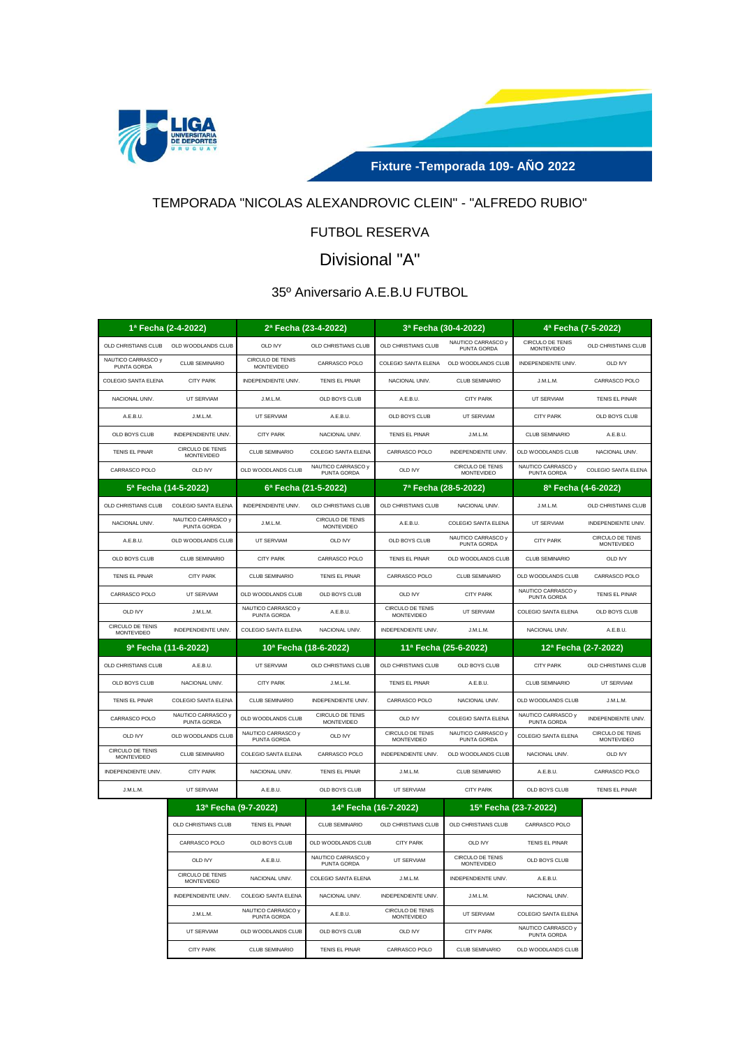



# TEMPORADA "NICOLAS ALEXANDROVIC CLEIN" - "ALFREDO RUBIO"

# FUTBOL RESERVA

# Divisional "A"

## 35º Aniversario A.E.B.U FUTBOL

|                                       | 1ª Fecha (2-4-2022)                    | 2ª Fecha (23-4-2022)                  |                                              | 3ª Fecha (30-4-2022)                  |                                        | 4ª Fecha (7-5-2022)                   |                                              |
|---------------------------------------|----------------------------------------|---------------------------------------|----------------------------------------------|---------------------------------------|----------------------------------------|---------------------------------------|----------------------------------------------|
| OLD CHRISTIANS CLUB                   | OLD WOODLANDS CLUB                     | <b>OLD IVY</b>                        | OLD CHRISTIANS CLUB                          | OLD CHRISTIANS CLUB                   | NAUTICO CARRASCO y<br>PUNTA GORDA      | CIRCULO DE TENIS<br><b>MONTEVIDEO</b> | OLD CHRISTIANS CLUB                          |
| NAUTICO CARRASCO y<br>PUNTA GORDA     | <b>CLUB SEMINARIO</b>                  | CIRCULO DE TENIS<br><b>MONTEVIDEO</b> | CARRASCO POLO                                |                                       | COLEGIO SANTA ELENA OLD WOODLANDS CLUB | INDEPENDIENTE UNIV.                   | OLD IVY                                      |
| COLEGIO SANTA ELENA                   | <b>CITY PARK</b>                       | INDEPENDIENTE UNIV.                   | TENIS EL PINAR                               | NACIONAL UNIV.                        | <b>CLUB SEMINARIO</b>                  | J.M.L.M.                              | CARRASCO POLO                                |
| NACIONAL UNIV.                        | UT SERVIAM                             | J.M.L.M.                              | OLD BOYS CLUB                                | A.E.B.U.                              | <b>CITY PARK</b>                       | UT SERVIAM                            | TENIS EL PINAR                               |
| A.E.B.U.                              | J.M.L.M.                               | UT SERVIAM                            | A.E.B.U.                                     | OLD BOYS CLUB                         | <b>UT SERVIAM</b>                      | <b>CITY PARK</b>                      | OLD BOYS CLUB                                |
| OLD BOYS CLUB                         | <b>INDEPENDIENTE UNIV</b>              | <b>CITY PARK</b>                      | NACIONAL UNIV.                               | <b>TENIS EL PINAR</b>                 | J.M.L.M.                               | <b>CLUB SEMINARIO</b>                 | A.E.B.U.                                     |
| TENIS EL PINAR                        | CIRCUI O DE TENIS<br><b>MONTEVIDEO</b> | <b>CLUB SEMINARIO</b>                 | COLEGIO SANTA ELENA                          | CARRASCO POLO                         | INDEPENDIENTE UNIV.                    | OLD WOODLANDS CLUB                    | NACIONAL UNIV.                               |
| CARRASCO POLO                         | OLD IVY                                | OLD WOODLANDS CLUB                    | NAUTICO CARRASCO y<br>PUNTA GORDA            | OLD IVY                               | CIRCULO DE TENIS<br><b>MONTFVIDEO</b>  | NAUTICO CARRASCO y<br>PUNTA GORDA     | COLEGIO SANTA ELENA                          |
|                                       | 5ª Fecha (14-5-2022)                   | 6ª Fecha (21-5-2022)                  |                                              | 7ª Fecha (28-5-2022)                  |                                        | 8ª Fecha (4-6-2022)                   |                                              |
| OLD CHRISTIANS CLUB                   | COLEGIO SANTA ELENA                    | INDEPENDIENTE UNIV.                   | OLD CHRISTIANS CLUB                          | OLD CHRISTIANS CLUB                   | NACIONAL UNIV.                         | J.M.L.M.                              | OLD CHRISTIANS CLUB                          |
| NACIONAL UNIV.                        | NAUTICO CARRASCO y<br>PUNTA GORDA      | J.M.L.M.                              | CIRCULO DE TENIS<br><b>MONTEVIDEO</b>        | A.E.B.U.                              | COLEGIO SANTA ELENA                    | UT SERVIAM                            | INDEPENDIENTE UNIV.                          |
| A.E.B.U.                              | OLD WOODLANDS CLUB                     | UT SERVIAM                            | OLD IVY                                      | OLD BOYS CLUB                         | NAUTICO CARRASCO y<br>PUNTA GORDA      | <b>CITY PARK</b>                      | CIRCULO DE TENIS<br><b>MONTFVIDEO</b>        |
| OLD BOYS CLUB                         | <b>CLUB SEMINARIO</b>                  | <b>CITY PARK</b>                      | CARRASCO POLO                                | <b>TENIS EL PINAR</b>                 | OLD WOODLANDS CLUB                     | <b>CLUB SEMINARIO</b>                 | OLD IVY                                      |
| TENIS EL PINAR                        | <b>CITY PARK</b>                       | <b>CLUB SEMINARIO</b>                 | <b>TENIS EL PINAR</b>                        | CARRASCO POLO                         | <b>CLUB SEMINARIO</b>                  | OLD WOODLANDS CLUB                    | CARRASCO POLO                                |
| CARRASCO POLO                         | UT SERVIAM                             | OLD WOODLANDS CLUB                    | OLD BOYS CLUB                                | OLD IVY                               | <b>CITY PARK</b>                       | NAUTICO CARRASCO y<br>PUNTA GORDA     | TENIS EL PINAR                               |
| OLD IVY                               | J.M.L.M.                               | NAUTICO CARRASCO y<br>PUNTA GORDA     | A.E.B.U.                                     | CIRCULO DE TENIS<br>MONTEVIDEO        | UT SERVIAM                             | COLEGIO SANTA ELENA                   | OLD BOYS CLUB                                |
| CIRCULO DE TENIS<br><b>MONTFVIDEO</b> | INDEPENDIENTE UNIV.                    | COLEGIO SANTA ELENA                   | NACIONAL UNIV.                               | INDEPENDIENTE UNIV.                   | J.M.L.M.                               | NACIONAL UNIV.                        | A.E.B.U.                                     |
|                                       |                                        |                                       |                                              |                                       |                                        |                                       |                                              |
|                                       | 9ª Fecha (11-6-2022)                   | 10 <sup>a</sup> Fecha (18-6-2022)     |                                              |                                       | 11ª Fecha (25-6-2022)                  | 12ª Fecha (2-7-2022)                  |                                              |
| OLD CHRISTIANS CLUB                   | A.E.B.U.                               | UT SERVIAM                            | OLD CHRISTIANS CLUB                          | OLD CHRISTIANS CLUB                   | OLD BOYS CLUB                          | <b>CITY PARK</b>                      | OLD CHRISTIANS CLUB                          |
| OLD BOYS CLUB                         | NACIONAL UNIV.                         | <b>CITY PARK</b>                      | J.M.L.M.                                     | TENIS EL PINAR                        | A.E.B.U.                               | <b>CLUB SEMINARIO</b>                 | UT SERVIAM                                   |
| TENIS EL PINAR                        | COLEGIO SANTA ELENA                    | <b>CLUB SEMINARIO</b>                 | INDEPENDIENTE UNIV.                          | CARRASCO POLO                         | NACIONAL UNIV.                         | OLD WOODLANDS CLUB                    | J.M.L.M.                                     |
| CARRASCO POLO                         | NAUTICO CARRASCO v<br>PUNTA GORDA      | OLD WOODLANDS CLUB                    | <b>CIRCULO DE TENIS</b><br><b>MONTEVIDEO</b> | OLD IVY                               | <b>COLEGIO SANTA ELENA</b>             | NAUTICO CARRASCO y<br>PUNTA GORDA     | INDEPENDIENTE UNIV.                          |
| OLD IVY                               | OLD WOODLANDS CLUB                     | NAUTICO CARRASCO y<br>PUNTA GORDA     | OLD IVY                                      | CIRCULO DE TENIS<br><b>MONTEVIDEO</b> | NAUTICO CARRASCO y<br>PUNTA GORDA      | COLEGIO SANTA ELENA                   | <b>CIRCULO DE TENIS</b><br><b>MONTEVIDEO</b> |
| CIRCULO DE TENIS<br><b>MONTEVIDEO</b> | <b>CLUB SEMINARIO</b>                  | COLEGIO SANTA ELENA                   | CARRASCO POLO                                | INDEPENDIENTE UNIV.                   | OLD WOODLANDS CLUB                     | NACIONAL UNIV.                        | OLD IVY                                      |
| INDEPENDIENTE UNIV.                   | <b>CITY PARK</b>                       | NACIONAL UNIV.                        | <b>TENIS EL PINAR</b>                        | J.M.L.M.                              | <b>CLUB SEMINARIO</b>                  | A.E.B.U.                              | CARRASCO POLO                                |
| J.M.L.M.                              | UT SERVIAM                             | A.E.B.U.                              | OLD BOYS CLUB                                | UT SERVIAM                            | <b>CITY PARK</b>                       | OLD BOYS CLUB                         | TENIS EL PINAR                               |
|                                       |                                        | 13ª Fecha (9-7-2022)                  |                                              | 14ª Fecha (16-7-2022)                 | 15ª Fecha (23-7-2022)                  |                                       |                                              |
|                                       | OLD CHRISTIANS CLUB                    | TENIS FI PINAR                        | CLUB SEMINARIO                               | OLD CHRISTIANS CLUB                   | OLD CHRISTIANS CLUB                    | CARRASCO POLO                         |                                              |
|                                       | CARRASCO POLO                          | OLD BOYS CLUB                         | OLD WOODLANDS CLUB                           | <b>CITY PARK</b>                      | OLD IVY                                | TENIS EL PINAR                        |                                              |
|                                       | OLD IVY                                | A.E.B.U.                              | NAUTICO CARRASCO y<br>PUNTA GORDA            | UT SERVIAM                            | CIRCULO DE TENIS<br>MONTEVIDEO         | OLD BOYS CLUB                         |                                              |
|                                       | CIRCULO DE TENIS<br><b>MONTEVIDEO</b>  | NACIONAL UNIV.                        | <b>COLEGIO SANTA ELENA</b>                   | J.M.L.M.                              | INDEPENDIENTE UNIV.                    | A.E.B.U.                              |                                              |
|                                       | INDEPENDIENTE UNIV.                    | COLEGIO SANTA ELENA                   | NACIONAL UNIV.                               | INDEPENDIENTE UNIV.                   | J.M.L.M.                               | NACIONAL UNIV.                        |                                              |
|                                       | J.M.L.M.                               | NAUTICO CARRASCO y<br>PUNTA GORDA     | A.E.B.U.                                     | CIRCULO DE TENIS<br>MONTEVIDEO        | UT SERVIAM                             | COLEGIO SANTA ELENA                   |                                              |
|                                       | UT SERVIAM                             | OLD WOODLANDS CLUB                    | OLD BOYS CLUB                                | OLD IVY                               | <b>CITY PARK</b>                       | NAUTICO CARRASCO y<br>PUNTA GORDA     |                                              |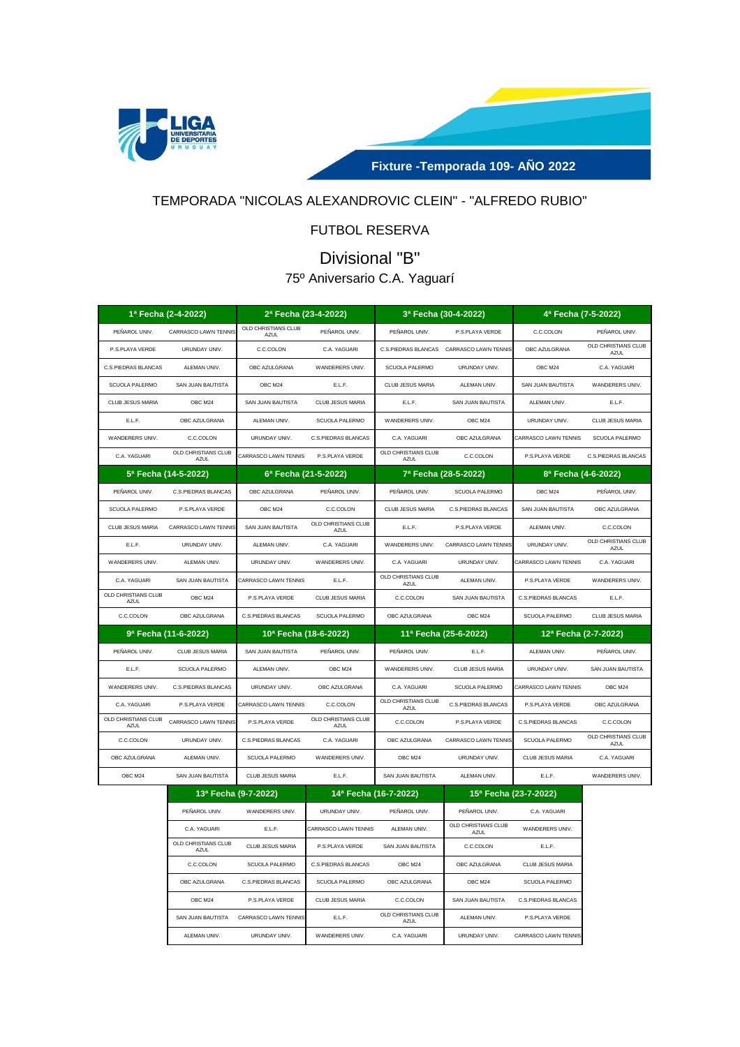

**Fixture -Temporada 109- AÑO 2022**

## TEMPORADA "NICOLAS ALEXANDROVIC CLEIN" - "ALFREDO RUBIO"

# FUTBOL RESERVA

# Divisional "B"

# 75º Aniversario C.A. Yaguarí

| 1ª Fecha (2-4-2022)                |                             | 2ª Fecha (23-4-2022)               |                                    |                                    | 3ª Fecha (30-4-2022)        | 4ª Fecha (7-5-2022)   |                                    |  |
|------------------------------------|-----------------------------|------------------------------------|------------------------------------|------------------------------------|-----------------------------|-----------------------|------------------------------------|--|
| PEÑAROL UNIV.                      | CARRASCO LAWN TENNIS        | OLD CHRISTIANS CLUB<br><b>AZUL</b> | PEÑAROL UNIV.                      | PEÑAROL UNIV.                      | P.S.PLAYA VERDE             | C.C.COLON             | PEÑAROL UNIV.                      |  |
| P.S.PLAYA VERDE                    | URUNDAY UNIV.               | C.C.COLON                          | C.A. YAGUARI                       | C.S.PIEDRAS BLANCAS                | CARRASCO LAWN TENNIS        | OBC AZULGRANA         | OLD CHRISTIANS CLUB<br>AZUL        |  |
| C.S.PIEDRAS BLANCAS                | ALEMAN UNIV.                | OBC AZULGRANA                      | WANDERERS UNIV.                    | <b>SCUOLA PALERMO</b>              | URUNDAY UNIV.               | OBC M24               | C.A. YAGUARI                       |  |
| SCUOLA PALERMO                     | SAN JUAN BAUTISTA           | OBC M24                            | E.L.F.                             | CLUB JESUS MARIA                   | ALEMAN UNIV.                | SAN JUAN BAUTISTA     | WANDERERS UNIV.                    |  |
| CLUB JESUS MARIA                   | OBC M24                     | SAN JUAN BAUTISTA                  | CLUB JESUS MARIA                   | E.L.F.                             | SAN JUAN BAUTISTA           | ALEMAN UNIV.          | E.L.F.                             |  |
| E.L.F.                             | OBC AZULGRANA               | ALEMAN UNIV.                       | SCUOLA PALERMO                     | WANDERERS UNIV.                    | OBC M24                     | URUNDAY UNIV.         | CLUB JESUS MARIA                   |  |
| WANDERERS UNIV.                    | C.C.COLON                   | URUNDAY UNIV.                      | C.S.PIEDRAS BLANCAS                | C.A. YAGUARI                       | OBC AZULGRANA               | CARRASCO LAWN TENNIS  | SCUOLA PALERMO                     |  |
| C.A. YAGUARI                       | OLD CHRISTIANS CLUB<br>AZUL | CARRASCO LAWN TENNIS               | P.S.PLAYA VERDE                    | OLD CHRISTIANS CLUB<br><b>AZUL</b> | C.C.COLON                   | P.S.PLAYA VERDE       | C.S.PIEDRAS BLANCAS                |  |
|                                    | 5ª Fecha (14-5-2022)        | 6ª Fecha (21-5-2022)               |                                    |                                    | 7ª Fecha (28-5-2022)        | 8ª Fecha (4-6-2022)   |                                    |  |
| PEÑAROL UNIV.                      | C.S.PIEDRAS BLANCAS         | OBC AZULGRANA                      | PEÑAROL UNIV.                      | PEÑAROL UNIV.                      | <b>SCUOLA PALERMO</b>       | OBC M24               | PEÑAROL UNIV.                      |  |
| <b>SCUOLA PALERMO</b>              | P.S.PLAYA VERDE             | OBC M24                            | C.C.COLON                          | <b>CLUB JESUS MARIA</b>            | <b>C.S.PIEDRAS BLANCAS</b>  | SAN JUAN BAUTISTA     | OBC AZULGRANA                      |  |
| CLUB JESUS MARIA                   | CARRASCO LAWN TENNIS        | SAN JUAN BAUTISTA                  | OLD CHRISTIANS CLUB<br>A7UL        | E.L.F.                             | P.S.PLAYA VERDE             | ALEMAN UNIV.          | C.C.COLON                          |  |
| E.L.F.                             | URUNDAY UNIV.               | ALEMAN UNIV.                       | C.A. YAGUARI                       | WANDERERS UNIV.                    | <b>CARRASCO LAWN TENNIS</b> | URUNDAY UNIV.         | OLD CHRISTIANS CLUB<br><b>AZUL</b> |  |
| WANDERERS UNIV.                    | ALEMAN UNIV.                | URUNDAY UNIV.                      | WANDERERS UNIV.                    | C.A. YAGUARI                       | URUNDAY UNIV.               | CARRASCO LAWN TENNIS  | C.A. YAGUARI                       |  |
| C.A. YAGUARI                       | SAN JUAN BAUTISTA           | CARRASCO LAWN TENNIS               | E.L.F.                             | OLD CHRISTIANS CLUB<br><b>AZUL</b> | ALEMAN UNIV.                | P.S.PLAYA VERDE       | WANDERERS UNIV.                    |  |
| OLD CHRISTIANS CLUB<br>AZUL        | OBC M24                     | P.S.PLAYA VERDE                    | CLUB JESUS MARIA                   | C.C.COLON                          | SAN JUAN BAUTISTA           | C.S.PIEDRAS BLANCAS   | E.L.F.                             |  |
| C.C.COLON                          | OBC AZULGRANA               | C.S.PIEDRAS BLANCAS                | SCUOLA PALERMO                     | OBC AZULGRANA                      | OBC M24                     | <b>SCUOLA PALERMO</b> | CLUB JESUS MARIA                   |  |
|                                    | 9ª Fecha (11-6-2022)        | 10ª Fecha (18-6-2022)              |                                    |                                    | 11ª Fecha (25-6-2022)       | 12ª Fecha (2-7-2022)  |                                    |  |
| PEÑAROL UNIV.                      | <b>CLUB JESUS MARIA</b>     | SAN JUAN BAUTISTA                  | PENAROL UNIV.                      | PENAROL UNIV.                      | E.L.F.                      | ALEMAN UNIV.          | PENAROL UNIV.                      |  |
| E.L.F.                             | SCUOLA PALERMO              | ALEMAN UNIV.                       | OBC M24                            | WANDERERS UNIV.                    | CLUB JESUS MARIA            | URUNDAY UNIV.         | SAN JUAN BAUTISTA                  |  |
| WANDERERS UNIV.                    | C.S.PIEDRAS BLANCAS         | URUNDAY UNIV.                      | OBC AZULGRANA                      | C.A. YAGUARI                       | <b>SCUOLA PALERMO</b>       | CARRASCO LAWN TENNIS  | OBC M24                            |  |
| C.A. YAGUARI                       | P.S.PLAYA VERDE             | CARRASCO LAWN TENNIS               | C.C.COLON                          | OLD CHRISTIANS CLUB<br><b>AZUL</b> | <b>C.S.PIEDRAS BLANCAS</b>  | P.S.PLAYA VERDE       | OBC AZULGRANA                      |  |
| OLD CHRISTIANS CLUB<br><b>AZUL</b> | CARRASCO LAWN TENNIS        | P.S.PLAYA VERDE                    | OLD CHRISTIANS CLUB<br><b>AZUL</b> | C.C.COLON                          | P.S.PLAYA VERDE             | C.S.PIEDRAS BLANCAS   | C.C.COLON                          |  |
| C.C.COLON                          | URUNDAY UNIV.               | C.S.PIEDRAS BLANCAS                | C.A. YAGUARI                       | OBC AZULGRANA                      | CARRASCO LAWN TENNIS        | SCUOLA PALERMO        | OLD CHRISTIANS CLUB<br>AZUL        |  |
| OBC AZULGRANA                      | ALEMAN UNIV.                | <b>SCUOLA PALERMO</b>              | WANDERERS UNIV.                    | OBC M24                            | URUNDAY UNIV.               | CLUB JESUS MARIA      | C.A. YAGUARI                       |  |
| OBC M24                            | SAN JUAN BAUTISTA           | CLUB JESUS MARIA                   | E.L.F.                             | SAN JUAN BAUTISTA                  | ALEMAN UNIV.                | E.L.F.                | WANDERERS UNIV.                    |  |
|                                    |                             |                                    | 20.5                               |                                    |                             |                       |                                    |  |

|                                    | 13ª Fecha (9-7-2022) | 14ª Fecha (16-7-2022)       |                             | 15 <sup>a</sup> Fecha (23-7-2022) |                       |  |
|------------------------------------|----------------------|-----------------------------|-----------------------------|-----------------------------------|-----------------------|--|
| PENAROL UNIV.                      | WANDERERS UNIV.      | URUNDAY UNIV.               | PEÑAROL UNIV.               | PEÑAROL UNIV.                     | C.A. YAGUARI          |  |
| C.A. YAGUARI                       | E.L.F.               | <b>CARRASCO LAWN TENNIS</b> | ALEMAN UNIV.                | OLD CHRISTIANS CLUB<br>AZUL       | WANDERERS UNIV.       |  |
| OLD CHRISTIANS CLUB<br><b>AZUL</b> | CLUB JESUS MARIA     | P.S.PLAYA VERDE             | SAN JUAN BAUTISTA           | C.C.COLON                         | E.L.F.                |  |
| C.C.COLON                          | SCUOLA PALERMO       | C.S.PIEDRAS BLANCAS         | OBC M24                     | OBC AZULGRANA                     | CLUB JESUS MARIA      |  |
| OBC AZULGRANA                      | C.S.PIEDRAS BLANCAS  | <b>SCUOLA PALERMO</b>       | OBC AZULGRANA               | OBC M24                           | <b>SCUOLA PALERMO</b> |  |
| OBC M24                            | P.S.PLAYA VERDE      | CLUB JESUS MARIA            | C.C.COLON                   | SAN JUAN BAUTISTA                 | C.S.PIEDRAS BLANCAS   |  |
| SAN JUAN BAUTISTA                  | CARRASCO LAWN TENNIS | E.L.F.                      | OLD CHRISTIANS CLUB<br>AZUL | ALEMAN UNIV.                      | P.S.PLAYA VERDE       |  |
| ALEMAN UNIV.                       | URUNDAY UNIV.        | WANDERERS UNIV.             | C.A. YAGUARI                | URUNDAY UNIV.                     | CARRASCO LAWN TENNIS  |  |